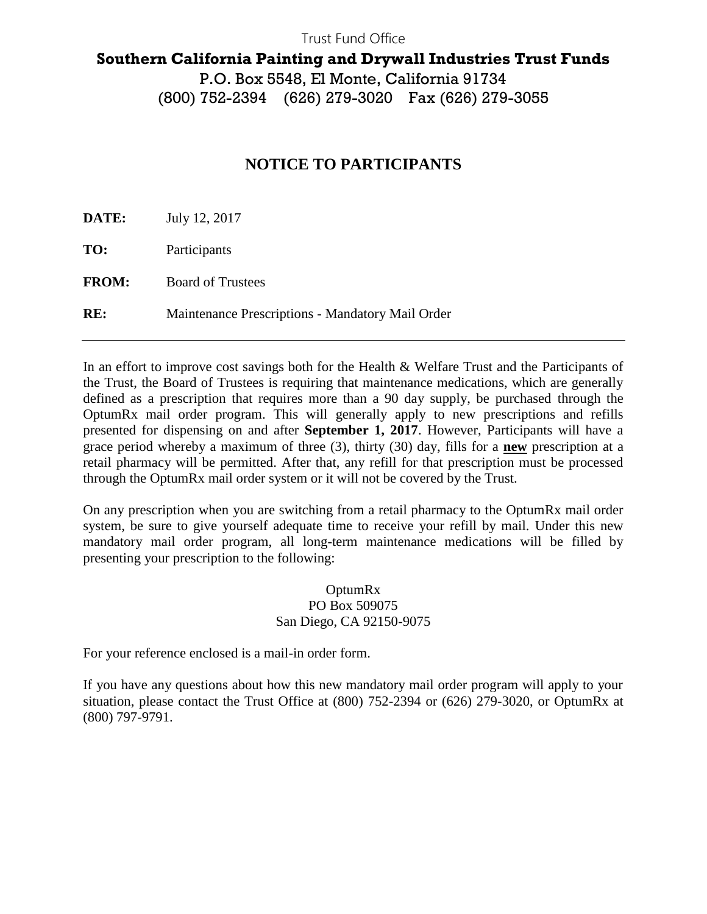# Trust Fund Office **Southern California Painting and Drywall Industries Trust Funds** P.O. Box 5548, El Monte, California 91734 (800) 752-2394 (626) 279-3020 Fax (626) 279-3055

## **NOTICE TO PARTICIPANTS**

**DATE:** July 12, 2017 **TO:** Participants **FROM:** Board of Trustees **RE:** Maintenance Prescriptions - Mandatory Mail Order

In an effort to improve cost savings both for the Health & Welfare Trust and the Participants of the Trust, the Board of Trustees is requiring that maintenance medications, which are generally defined as a prescription that requires more than a 90 day supply, be purchased through the OptumRx mail order program. This will generally apply to new prescriptions and refills presented for dispensing on and after **September 1, 2017**. However, Participants will have a grace period whereby a maximum of three (3), thirty (30) day, fills for a **new** prescription at a retail pharmacy will be permitted. After that, any refill for that prescription must be processed through the OptumRx mail order system or it will not be covered by the Trust.

On any prescription when you are switching from a retail pharmacy to the OptumRx mail order system, be sure to give yourself adequate time to receive your refill by mail. Under this new mandatory mail order program, all long-term maintenance medications will be filled by presenting your prescription to the following:

#### OptumRx PO Box 509075 San Diego, CA 92150-9075

For your reference enclosed is a mail-in order form.

If you have any questions about how this new mandatory mail order program will apply to your situation, please contact the Trust Office at (800) 752-2394 or (626) 279-3020, or OptumRx at (800) 797-9791.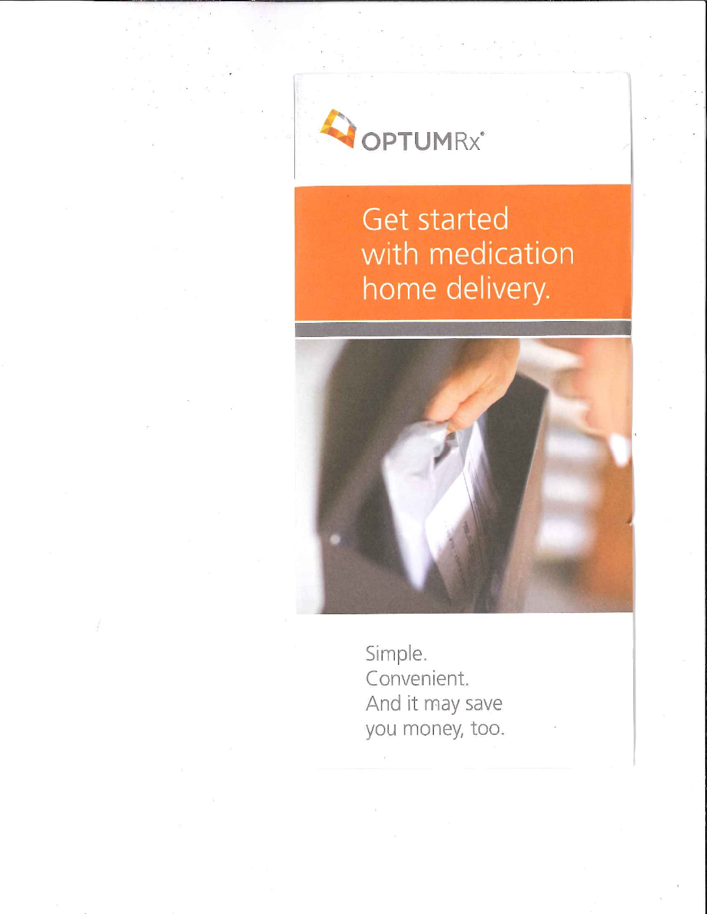

# Get started with medication home delivery.



Simple. Convenient. And it may save you money, too.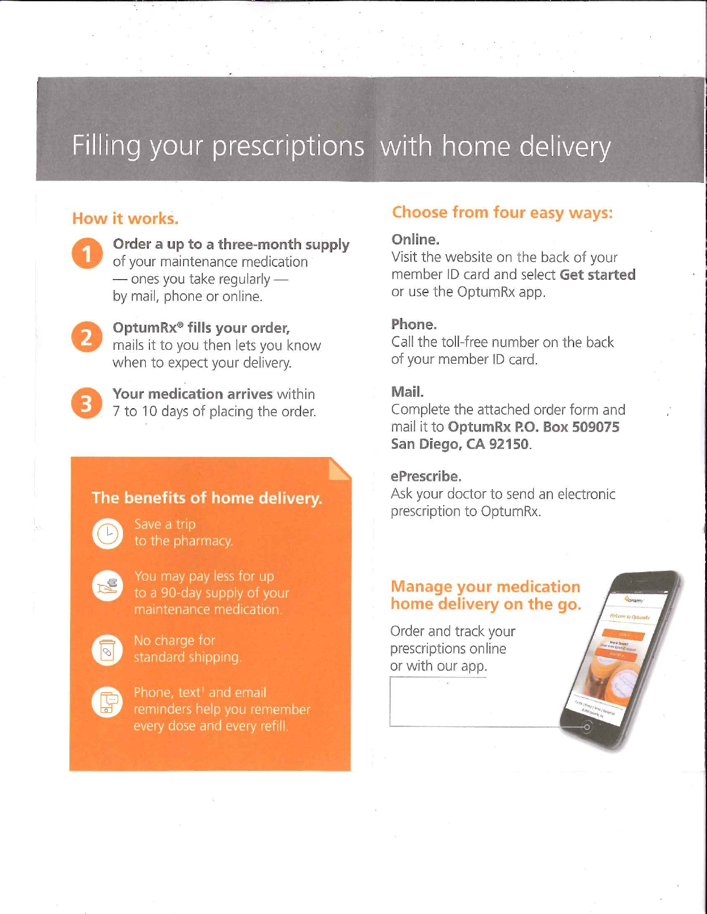# Filling your prescriptions with home delivery

## How it works.

Order a up to a three-month supply of your maintenance medication - ones you take regularly by mail, phone or online.

OptumRx<sup>®</sup> fills your order, mails it to you then lets you know when to expect your delivery.

Your medication arrives within 7 to 10 days of placing the order.

## The benefits of home delivery.

Save a trip to the pharmacy.



You may pay less for up to a 90-day supply of your maintenance medication.



No charge for standard shipping.



Phone, text<sup>1</sup> and email reminders help you remember every dose and every refill.

# Choose from four easy ways:

### Online.

Visit the website on the back of your member ID card and select Get started or use the OptumRx app.

### Phone.

Call the toll-free number on the back of your member ID card.

#### Mail.

Complete the attached order form and mail it to OptumRx P.O. Box 509075 San Diego, CA 92150.

#### ePrescribe.

Ask your doctor to send an electronic prescription to OptumRx.

## **Manage your medication** home delivery on the go.

Order and track your prescriptions online or with our app.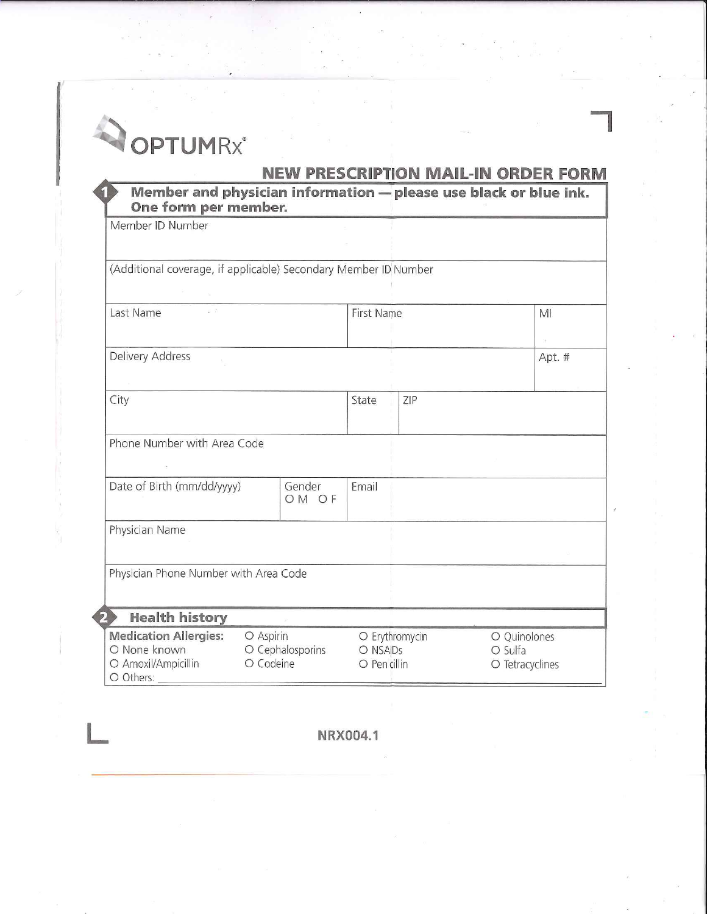

L

## **NEW PRESCRIPTION MAIL-IN ORDER FORM**

| Member and physician information - please use black or blue ink.<br>1<br>One form per member. |           |                  |                |     |                 |              |  |  |
|-----------------------------------------------------------------------------------------------|-----------|------------------|----------------|-----|-----------------|--------------|--|--|
| Member ID Number                                                                              |           |                  |                |     |                 |              |  |  |
|                                                                                               |           |                  |                |     |                 |              |  |  |
| (Additional coverage, if applicable) Secondary Member ID Number                               |           |                  |                |     |                 |              |  |  |
|                                                                                               |           |                  |                |     |                 |              |  |  |
| $W$ $R$<br>Last Name                                                                          |           |                  | First Name     |     |                 | MI           |  |  |
|                                                                                               |           |                  |                |     |                 |              |  |  |
| Delivery Address                                                                              |           |                  |                |     |                 | Apt. #       |  |  |
|                                                                                               |           |                  |                |     |                 |              |  |  |
| City                                                                                          |           |                  | State          | ZIP |                 |              |  |  |
|                                                                                               |           |                  |                |     |                 |              |  |  |
| Phone Number with Area Code                                                                   |           |                  |                |     |                 |              |  |  |
|                                                                                               |           |                  |                |     |                 |              |  |  |
| Date of Birth (mm/dd/yyyy)<br>Gender                                                          |           |                  | Email          |     |                 |              |  |  |
|                                                                                               |           | OM OF            |                |     |                 |              |  |  |
| Physician Name                                                                                |           |                  |                |     |                 |              |  |  |
|                                                                                               |           |                  |                |     |                 |              |  |  |
| Physician Phone Number with Area Code                                                         |           |                  |                |     |                 |              |  |  |
|                                                                                               |           |                  |                |     |                 |              |  |  |
| <b>Health history</b>                                                                         |           |                  |                |     |                 |              |  |  |
| <b>Medication Allergies:</b>                                                                  | O Aspirin |                  | O Erythromycin |     |                 | O Quinolones |  |  |
| O None known                                                                                  |           | O Cephalosporins | O NSAIDs       |     | $O$ Sulfa       |              |  |  |
| O Amoxil/Ampicillin<br>O Others:                                                              | O Codeine |                  | O Penicillin   |     | O Tetracyclines |              |  |  |

**NRX004.1**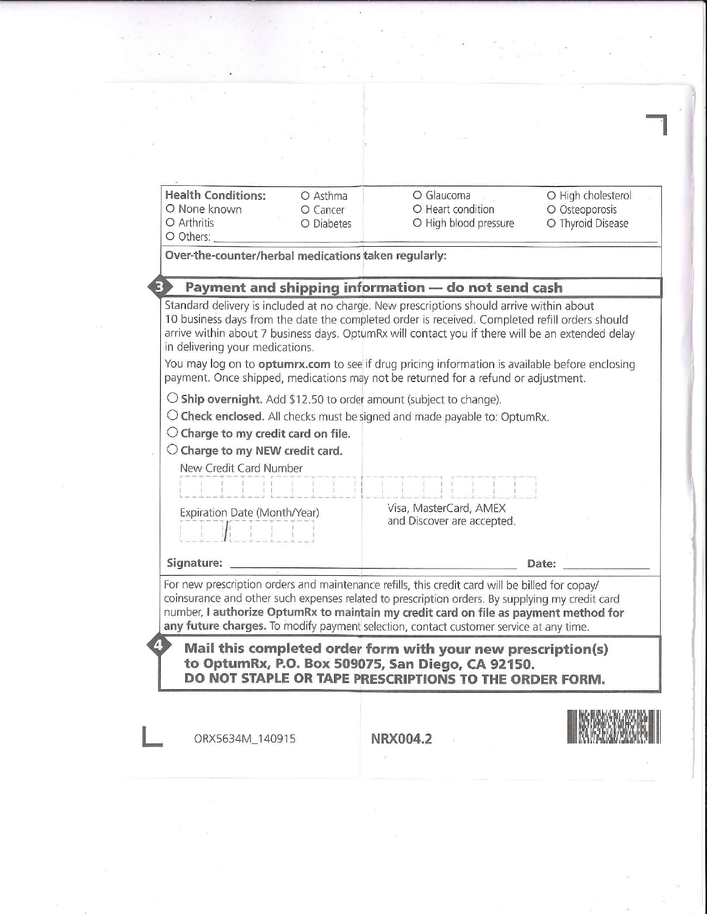| <b>Health Conditions:</b><br>O None known<br>O Arthritis<br>O Others: | O Asthma<br>O Cancer<br>O Diabetes                                                                                 | O Glaucoma<br>O Heart condition<br>O High blood pressure                                                                                                                                                                                                                                                                                                                                                                                                                                      | O High cholesterol<br>O Osteoporosis<br>O Thyroid Disease |
|-----------------------------------------------------------------------|--------------------------------------------------------------------------------------------------------------------|-----------------------------------------------------------------------------------------------------------------------------------------------------------------------------------------------------------------------------------------------------------------------------------------------------------------------------------------------------------------------------------------------------------------------------------------------------------------------------------------------|-----------------------------------------------------------|
|                                                                       | Over-the-counter/herbal medications taken regularly:                                                               |                                                                                                                                                                                                                                                                                                                                                                                                                                                                                               |                                                           |
| 31                                                                    |                                                                                                                    | Payment and shipping information - do not send cash                                                                                                                                                                                                                                                                                                                                                                                                                                           |                                                           |
|                                                                       | in delivering your medications.                                                                                    | Standard delivery is included at no charge. New prescriptions should arrive within about<br>10 business days from the date the completed order is received. Completed refill orders should<br>arrive within about 7 business days. OptumRx will contact you if there will be an extended delay<br>You may log on to <b>optumrx.com</b> to see if drug pricing information is available before enclosing<br>payment. Once shipped, medications may not be returned for a refund or adjustment. |                                                           |
|                                                                       | $\bigcirc$ Charge to my credit card on file.<br>$\bigcirc$ Charge to my NEW credit card.<br>New Credit Card Number | $\circ$ Ship overnight. Add \$12.50 to order amount (subject to change).<br>$\circ$ Check enclosed. All checks must be signed and made payable to: OptumRx.                                                                                                                                                                                                                                                                                                                                   |                                                           |
|                                                                       |                                                                                                                    |                                                                                                                                                                                                                                                                                                                                                                                                                                                                                               |                                                           |
|                                                                       | Expiration Date (Month/Year)                                                                                       | Visa, MasterCard, AMEX<br>and Discover are accepted.                                                                                                                                                                                                                                                                                                                                                                                                                                          |                                                           |
| Signature:                                                            |                                                                                                                    |                                                                                                                                                                                                                                                                                                                                                                                                                                                                                               | Date:                                                     |
|                                                                       |                                                                                                                    | For new prescription orders and maintenance refills, this credit card will be billed for copay/<br>coinsurance and other such expenses related to prescription orders. By supplying my credit card<br>number, I authorize OptumRx to maintain my credit card on file as payment method for<br>any future charges. To modify payment selection, contact customer service at any time.                                                                                                          |                                                           |
| $\overline{4}$                                                        |                                                                                                                    | Mail this completed order form with your new prescription(s)<br>to OptumRx, P.O. Box 509075, San Diego, CA 92150.<br>DO NOT STAPLE OR TAPE PRESCRIPTIONS TO THE ORDER FORM.                                                                                                                                                                                                                                                                                                                   |                                                           |
|                                                                       |                                                                                                                    |                                                                                                                                                                                                                                                                                                                                                                                                                                                                                               |                                                           |
|                                                                       | ORX5634M_140915                                                                                                    | <b>NRX004.2</b>                                                                                                                                                                                                                                                                                                                                                                                                                                                                               |                                                           |

 $\label{eq:3.1} \begin{array}{c} \mathcal{C}^{\mu\nu} \\ \mathcal{C}^{\mu\nu} \end{array}$ 

 $\begin{aligned} \mathbb{S}^{02} \\ &\times \mathbb{R} \end{aligned}$ 

 $\begin{array}{c} \frac{1}{2} & \frac{1}{2} \\ \frac{1}{2} & \frac{1}{2} \end{array}$ 

 $\ddot{\cdot}$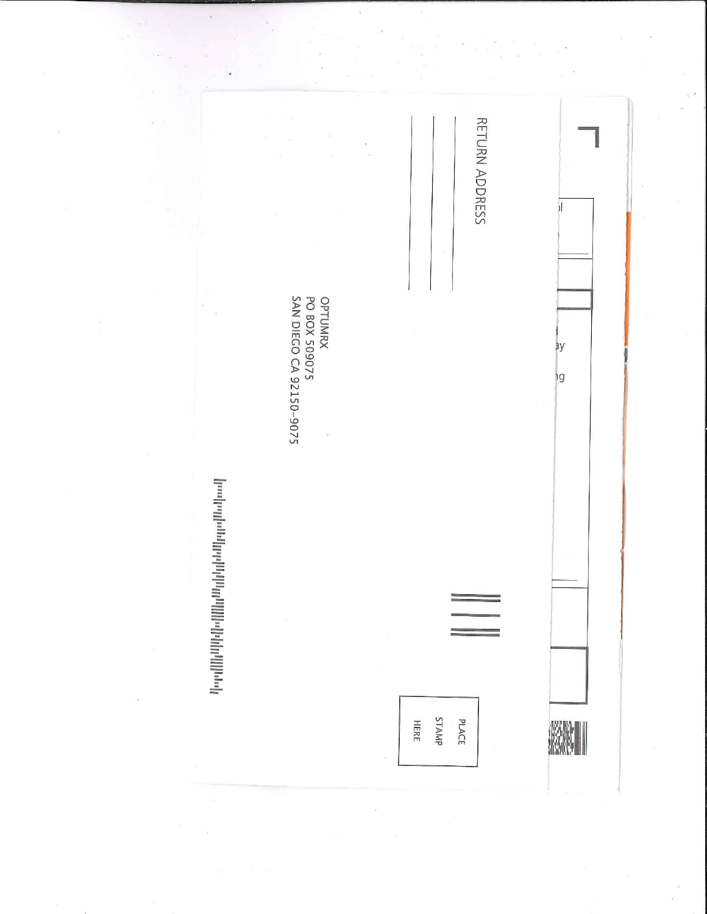|                                                                                       |                                                     | RETURN ADDRESS         |            |
|---------------------------------------------------------------------------------------|-----------------------------------------------------|------------------------|------------|
|                                                                                       | OPTUMRX<br>PO BOX 509075<br>SAN DIEGO CA 92150-9075 |                        | зу<br>١g   |
| إنسراسالورور والانتشار الاستينا المالكان المالكة والتحالية<br>$\boldsymbol{z}$<br>ìú. | Ÿ.                                                  | STAMP<br>PLACE<br>HERE | <b>KAN</b> |

 $\begin{array}{ccccc}\n\mathcal{B} & & & & \\
\mathcal{B} & & & & \\
\mathcal{B} & & & & \\
\end{array}$